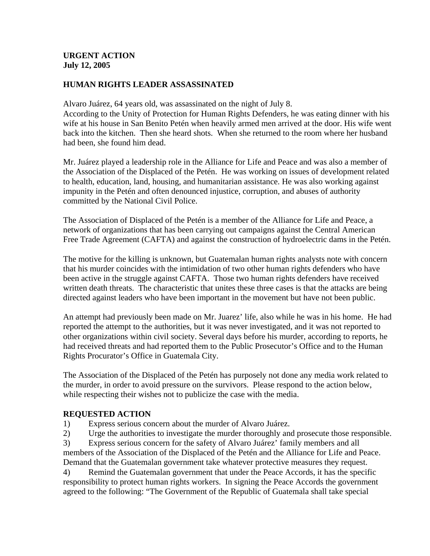## **URGENT ACTION July 12, 2005**

# **HUMAN RIGHTS LEADER ASSASSINATED**

Alvaro Juárez, 64 years old, was assassinated on the night of July 8.

According to the Unity of Protection for Human Rights Defenders, he was eating dinner with his wife at his house in San Benito Petén when heavily armed men arrived at the door. His wife went back into the kitchen. Then she heard shots. When she returned to the room where her husband had been, she found him dead.

Mr. Juárez played a leadership role in the Alliance for Life and Peace and was also a member of the Association of the Displaced of the Petén. He was working on issues of development related to health, education, land, housing, and humanitarian assistance. He was also working against impunity in the Petén and often denounced injustice, corruption, and abuses of authority committed by the National Civil Police.

The Association of Displaced of the Petén is a member of the Alliance for Life and Peace, a network of organizations that has been carrying out campaigns against the Central American Free Trade Agreement (CAFTA) and against the construction of hydroelectric dams in the Petén.

The motive for the killing is unknown, but Guatemalan human rights analysts note with concern that his murder coincides with the intimidation of two other human rights defenders who have been active in the struggle against CAFTA. Those two human rights defenders have received written death threats. The characteristic that unites these three cases is that the attacks are being directed against leaders who have been important in the movement but have not been public.

An attempt had previously been made on Mr. Juarez' life, also while he was in his home. He had reported the attempt to the authorities, but it was never investigated, and it was not reported to other organizations within civil society. Several days before his murder, according to reports, he had received threats and had reported them to the Public Prosecutor's Office and to the Human Rights Procurator's Office in Guatemala City.

The Association of the Displaced of the Petén has purposely not done any media work related to the murder, in order to avoid pressure on the survivors. Please respond to the action below, while respecting their wishes not to publicize the case with the media.

### **REQUESTED ACTION**

1) Express serious concern about the murder of Alvaro Juárez.

2) Urge the authorities to investigate the murder thoroughly and prosecute those responsible.

3) Express serious concern for the safety of Alvaro Juárez' family members and all members of the Association of the Displaced of the Petén and the Alliance for Life and Peace. Demand that the Guatemalan government take whatever protective measures they request.

4) Remind the Guatemalan government that under the Peace Accords, it has the specific responsibility to protect human rights workers. In signing the Peace Accords the government agreed to the following: "The Government of the Republic of Guatemala shall take special